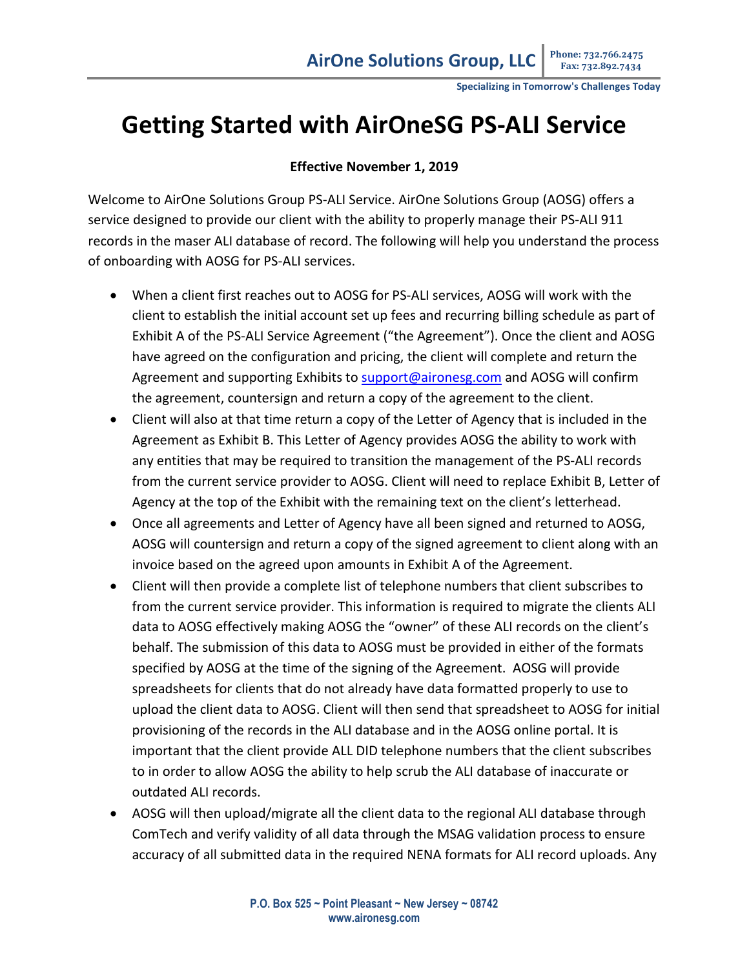**Specializing in Tomorrow's Challenges Today**

## **Getting Started with AirOneSG PS-ALI Service**

## **Effective November 1, 2019**

Welcome to AirOne Solutions Group PS-ALI Service. AirOne Solutions Group (AOSG) offers a service designed to provide our client with the ability to properly manage their PS-ALI 911 records in the maser ALI database of record. The following will help you understand the process of onboarding with AOSG for PS-ALI services.

- When a client first reaches out to AOSG for PS-ALI services, AOSG will work with the client to establish the initial account set up fees and recurring billing schedule as part of Exhibit A of the PS-ALI Service Agreement ("the Agreement"). Once the client and AOSG have agreed on the configuration and pricing, the client will complete and return the Agreement and supporting Exhibits t[o support@aironesg.com](mailto:support@aironesg.com) and AOSG will confirm the agreement, countersign and return a copy of the agreement to the client.
- Client will also at that time return a copy of the Letter of Agency that is included in the Agreement as Exhibit B. This Letter of Agency provides AOSG the ability to work with any entities that may be required to transition the management of the PS-ALI records from the current service provider to AOSG. Client will need to replace Exhibit B, Letter of Agency at the top of the Exhibit with the remaining text on the client's letterhead.
- Once all agreements and Letter of Agency have all been signed and returned to AOSG, AOSG will countersign and return a copy of the signed agreement to client along with an invoice based on the agreed upon amounts in Exhibit A of the Agreement.
- Client will then provide a complete list of telephone numbers that client subscribes to from the current service provider. This information is required to migrate the clients ALI data to AOSG effectively making AOSG the "owner" of these ALI records on the client's behalf. The submission of this data to AOSG must be provided in either of the formats specified by AOSG at the time of the signing of the Agreement. AOSG will provide spreadsheets for clients that do not already have data formatted properly to use to upload the client data to AOSG. Client will then send that spreadsheet to AOSG for initial provisioning of the records in the ALI database and in the AOSG online portal. It is important that the client provide ALL DID telephone numbers that the client subscribes to in order to allow AOSG the ability to help scrub the ALI database of inaccurate or outdated ALI records.
- AOSG will then upload/migrate all the client data to the regional ALI database through ComTech and verify validity of all data through the MSAG validation process to ensure accuracy of all submitted data in the required NENA formats for ALI record uploads. Any